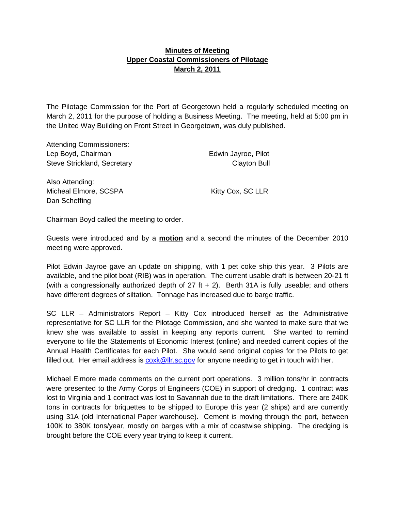## **Minutes of Meeting Upper Coastal Commissioners of Pilotage March 2, 2011**

The Pilotage Commission for the Port of Georgetown held a regularly scheduled meeting on March 2, 2011 for the purpose of holding a Business Meeting. The meeting, held at 5:00 pm in the United Way Building on Front Street in Georgetown, was duly published.

| <b>Attending Commissioners:</b> |                     |
|---------------------------------|---------------------|
| Lep Boyd, Chairman              | Edwin Jayroe, Pilot |
| Steve Strickland, Secretary     | <b>Clayton Bull</b> |
| Also Attending:                 |                     |
| Micheal Elmore, SCSPA           | Kitty Cox, SC LLR   |
| Dan Scheffing                   |                     |

Chairman Boyd called the meeting to order.

Guests were introduced and by a **motion** and a second the minutes of the December 2010 meeting were approved.

Pilot Edwin Jayroe gave an update on shipping, with 1 pet coke ship this year. 3 Pilots are available, and the pilot boat (RIB) was in operation. The current usable draft is between 20-21 ft (with a congressionally authorized depth of  $27$  ft  $+ 2$ ). Berth 31A is fully useable; and others have different degrees of siltation. Tonnage has increased due to barge traffic.

SC LLR – Administrators Report – Kitty Cox introduced herself as the Administrative representative for SC LLR for the Pilotage Commission, and she wanted to make sure that we knew she was available to assist in keeping any reports current. She wanted to remind everyone to file the Statements of Economic Interest (online) and needed current copies of the Annual Health Certificates for each Pilot. She would send original copies for the Pilots to get filled out. Her email address is  $\frac{\text{coxk@llr}.\text{sc.gov}}{\text{cox}}$  for anyone needing to get in touch with her.

Michael Elmore made comments on the current port operations. 3 million tons/hr in contracts were presented to the Army Corps of Engineers (COE) in support of dredging. 1 contract was lost to Virginia and 1 contract was lost to Savannah due to the draft limitations. There are 240K tons in contracts for briquettes to be shipped to Europe this year (2 ships) and are currently using 31A (old International Paper warehouse). Cement is moving through the port, between 100K to 380K tons/year, mostly on barges with a mix of coastwise shipping. The dredging is brought before the COE every year trying to keep it current.